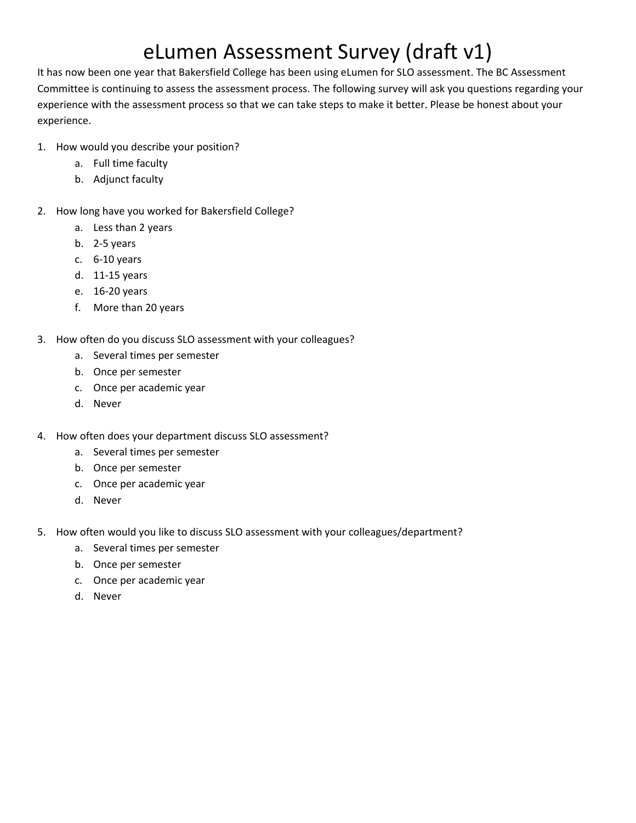## eLumen Assessment Survey (draft v1)

It has now been one year that Bakersfield College has been using eLumen for SLO assessment. The BC Assessment Committee is continuing to assess the assessment process. The following survey will ask you questions regarding your experience with the assessment process so that we can take steps to make it better. Please be honest about your experience.

- 1. How would you describe your position?
	- a. Full time faculty
	- b. Adjunct faculty
- 2. How long have you worked for Bakersfield College?
	- a. Less than 2 years
	- b. 2-5 years
	- c. 6-10 years
	- d. 11-15 years
	- e. 16-20 years
	- f. More than 20 years
- 3. How often do you discuss SLO assessment with your colleagues?
	- a. Several times per semester
	- b. Once per semester
	- c. Once per academic year
	- d. Never
- 4. How often does your department discuss SLO assessment?
	- a. Several times per semester
	- b. Once per semester
	- c. Once per academic year
	- d. Never
- 5. How often would you like to discuss SLO assessment with your colleagues/department?
	- a. Several times per semester
	- b. Once per semester
	- c. Once per academic year
	- d. Never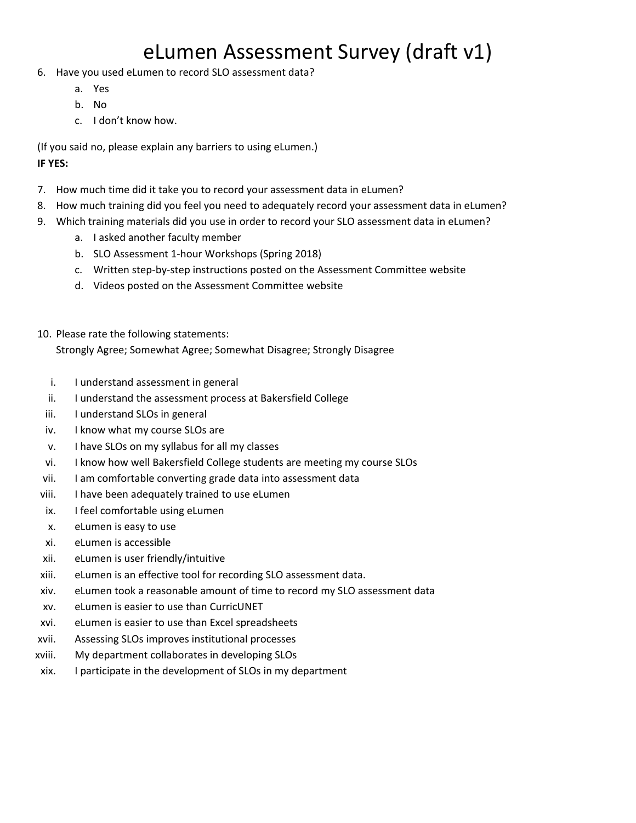## eLumen Assessment Survey (draft v1)

- 6. Have you used eLumen to record SLO assessment data?
	- a. Yes
	- b. No
	- c. I don't know how.

(If you said no, please explain any barriers to using eLumen.) **IF YES:**

- 7. How much time did it take you to record your assessment data in eLumen?
- 8. How much training did you feel you need to adequately record your assessment data in eLumen?
- 9. Which training materials did you use in order to record your SLO assessment data in eLumen?
	- a. I asked another faculty member
	- b. SLO Assessment 1-hour Workshops (Spring 2018)
	- c. Written step-by-step instructions posted on the Assessment Committee website
	- d. Videos posted on the Assessment Committee website
- 10. Please rate the following statements:

Strongly Agree; Somewhat Agree; Somewhat Disagree; Strongly Disagree

- i. I understand assessment in general
- ii. I understand the assessment process at Bakersfield College
- iii. I understand SLOs in general
- iv. I know what my course SLOs are
- v. I have SLOs on my syllabus for all my classes
- vi. I know how well Bakersfield College students are meeting my course SLOs
- vii. I am comfortable converting grade data into assessment data
- viii. I have been adequately trained to use eLumen
- ix. I feel comfortable using eLumen
- x. eLumen is easy to use
- xi. eLumen is accessible
- xii. eLumen is user friendly/intuitive
- xiii. eLumen is an effective tool for recording SLO assessment data.
- xiv. eLumen took a reasonable amount of time to record my SLO assessment data
- xv. eLumen is easier to use than CurricUNET
- xvi. eLumen is easier to use than Excel spreadsheets
- xvii. Assessing SLOs improves institutional processes
- xviii. My department collaborates in developing SLOs
- xix. I participate in the development of SLOs in my department